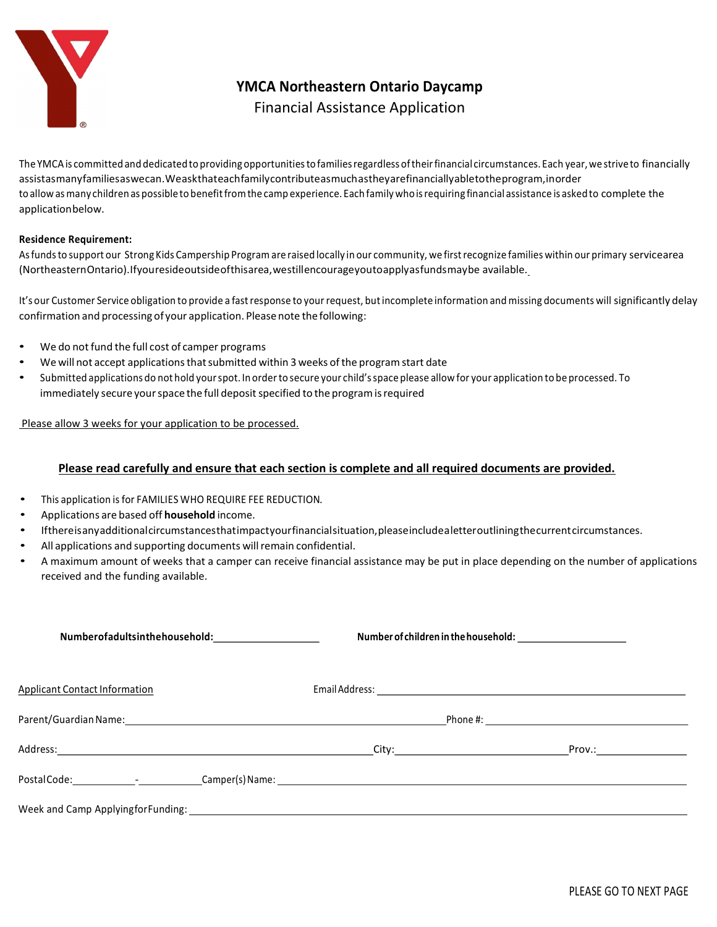

YMCA Northeastern Ontario Daycamp

## Financial Assistance Application

The YMCA is committed and dedicated to providing opportunities to families regardless of their financial circumstances. Each year, we strive to financially assist as many families as we can. We ask that each family contribute as much as they are financially able to the program, in order to allow as many children as possible to benefit from the camp experience. Each family who is requiring financial assistance is asked to complete the application below.

## Residence Requirement:

As funds to support our Strong Kids Campership Program are raised locally in our community, we first recognize families within our primary servicearea (Northeastern Ontario). If you reside outside of this area, we still encourage you to apply as funds may be available.

It's our Customer Service obligation to provide a fast response to your request, but incomplete information and missing documents will significantly delay confirmation and processing of your application. Please note the following:

- We do not fund the full cost of camper programs
- We will not accept applications that submitted within 3 weeks of the program start date
- Submitted applications do not hold your spot. In order to secure your child's space please allow for your application to be processed. To immediately secure your space the full deposit specified to the program is required

Please allow 3 weeks for your application to be processed.

## Please read carefully and ensure that each section is complete and all required documents are provided.

- This application is for FAMILIES WHO REQUIRE FEE REDUCTION.
- Applications are based off household income.
- If there is any additional circumstances that impact your financial situation, please include a letter outlining the current circumstances.
- All applications and supporting documents will remain confidential.
- A maximum amount of weeks that a camper can receive financial assistance may be put in place depending on the number of applications received and the funding available.

| <b>Applicant Contact Information</b>                                              |  |  |  |
|-----------------------------------------------------------------------------------|--|--|--|
|                                                                                   |  |  |  |
|                                                                                   |  |  |  |
| PostalCode:_____________________________Camper(s)Name:___________________________ |  |  |  |
|                                                                                   |  |  |  |